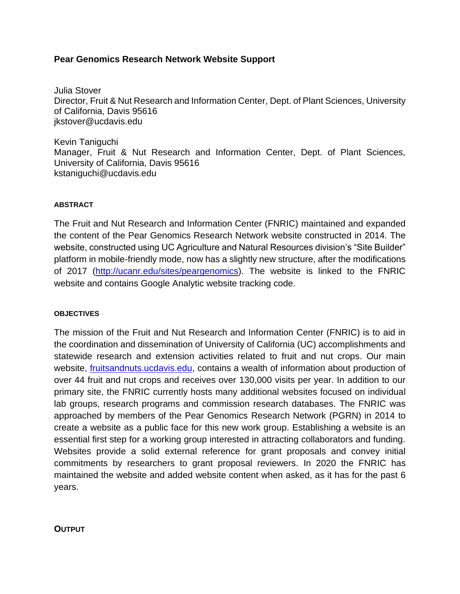## **Pear Genomics Research Network Website Support**

Julia Stover Director, Fruit & Nut Research and Information Center, Dept. of Plant Sciences, University of California, Davis 95616 [jkstover@ucdavis.edu](mailto:jjacquemin@ucdavis.edu)

Kevin Taniguchi Manager, Fruit & Nut Research and Information Center, Dept. of Plant Sciences, University of California, Davis 95616 kstaniguchi@ucdavis.edu

## **ABSTRACT**

The Fruit and Nut Research and Information Center (FNRIC) maintained and expanded the content of the Pear Genomics Research Network website constructed in 2014. The website, constructed using UC Agriculture and Natural Resources division's "Site Builder" platform in mobile-friendly mode, now has a slightly new structure, after the modifications of 2017 [\(http://ucanr.edu/sites/peargenomics\)](http://ucanr.edu/sites/peargenomics). The website is linked to the FNRIC website and contains Google Analytic website tracking code.

## **OBJECTIVES**

The mission of the Fruit and Nut Research and Information Center (FNRIC) is to aid in the coordination and dissemination of University of California (UC) accomplishments and statewide research and extension activities related to fruit and nut crops. Our main website, [fruitsandnuts.ucdavis.edu,](http://fruitsandnuts.ucdavis.edu/) contains a wealth of information about production of over 44 fruit and nut crops and receives over 130,000 visits per year. In addition to our primary site, the FNRIC currently hosts many additional websites focused on individual lab groups, research programs and commission research databases. The FNRIC was approached by members of the Pear Genomics Research Network (PGRN) in 2014 to create a website as a public face for this new work group. Establishing a website is an essential first step for a working group interested in attracting collaborators and funding. Websites provide a solid external reference for grant proposals and convey initial commitments by researchers to grant proposal reviewers. In 2020 the FNRIC has maintained the website and added website content when asked, as it has for the past 6 years.

**OUTPUT**